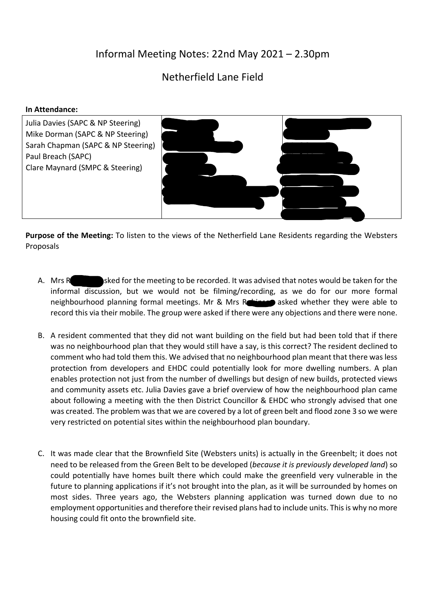## Informal Meeting Notes: 22nd May 2021 – 2.30pm

## Netherfield Lane Field

## **In Attendance:**



**Purpose of the Meeting:** To listen to the views of the Netherfield Lane Residents regarding the Websters Proposals

- A. Mrs Robinson asked for the meeting to be recorded. It was advised that notes would be taken for the informal discussion, but we would not be filming/recording, as we do for our more formal neighbourhood planning formal meetings. Mr & Mrs Robinson asked whether they were able to record this via their mobile. The group were asked if there were any objections and there were none.
- B. A resident commented that they did not want building on the field but had been told that if there was no neighbourhood plan that they would still have a say, is this correct? The resident declined to comment who had told them this. We advised that no neighbourhood plan meant that there wasless protection from developers and EHDC could potentially look for more dwelling numbers. A plan enables protection not just from the number of dwellings but design of new builds, protected views and community assets etc. Julia Davies gave a brief overview of how the neighbourhood plan came about following a meeting with the then District Councillor & EHDC who strongly advised that one was created. The problem was that we are covered by a lot of green belt and flood zone 3 so we were very restricted on potential sites within the neighbourhood plan boundary.
- C. It was made clear that the Brownfield Site (Websters units) is actually in the Greenbelt; it does not need to be released from the Green Belt to be developed (*because it is previously developed land*) so could potentially have homes built there which could make the greenfield very vulnerable in the future to planning applications if it's not brought into the plan, as it will be surrounded by homes on most sides. Three years ago, the Websters planning application was turned down due to no employment opportunities and therefore their revised plans had to include units. This is why no more housing could fit onto the brownfield site.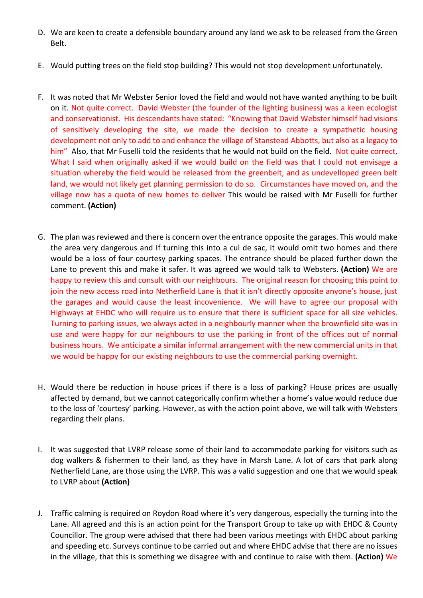- D. We are keen to create a defensible boundary around any land we ask to be released from the Green Belt.
- E. Would putting trees on the field stop building? This would not stop development unfortunately.
- F. It was noted that Mr Webster Senior loved the field and would not have wanted anything to be built on it. Not quite correct. David Webster (the founder of the lighting business) was a keen ecologist and conservationist. His descendants have stated: "Knowing that David Webster himself had visions of sensitively developing the site, we made the decision to create a sympathetic housing development not only to add to and enhance the village of Stanstead Abbotts, but also as a legacy to him" Also, that Mr Fuselli told the residents that he would not build on the field. Not quite correct, What I said when originally asked if we would build on the field was that I could not envisage a situation whereby the field would be released from the greenbelt, and as undevelloped green belt land, we would not likely get planning permission to do so. Circumstances have moved on, and the village now has a quota of new homes to deliver This would be raised with Mr Fuselli for further comment. **(Action)**
- G. The plan was reviewed and there is concern over the entrance opposite the garages. This would make the area very dangerous and If turning this into a cul de sac, it would omit two homes and there would be a loss of four courtesy parking spaces. The entrance should be placed further down the Lane to prevent this and make it safer. It was agreed we would talk to Websters. **(Action)** We are happy to review this and consult with our neighbours. The original reason for choosing this point to join the new access road into Netherfield Lane is that it isn't directly opposite anyone's house, just the garages and would cause the least incovenience. We will have to agree our proposal with Highways at EHDC who will require us to ensure that there is sufficient space for all size vehicles. Turning to parking issues, we always acted in a neighbourly manner when the brownfield site was in use and were happy for our neighbours to use the parking in front of the offices out of normal business hours. We anticipate a similar informal arrangement with the new commercial units in that we would be happy for our existing neighbours to use the commercial parking overnight.
- H. Would there be reduction in house prices if there is a loss of parking? House prices are usually affected by demand, but we cannot categorically confirm whether a home's value would reduce due to the loss of 'courtesy' parking. However, as with the action point above, we will talk with Websters regarding their plans.
- I. It was suggested that LVRP release some of their land to accommodate parking for visitors such as dog walkers & fishermen to their land, as they have in Marsh Lane. A lot of cars that park along Netherfield Lane, are those using the LVRP. This was a valid suggestion and one that we would speak to LVRP about **(Action)**
- J. Traffic calming is required on Roydon Road where it's very dangerous, especially the turning into the Lane. All agreed and this is an action point for the Transport Group to take up with EHDC & County Councillor. The group were advised that there had been various meetings with EHDC about parking and speeding etc. Surveys continue to be carried out and where EHDC advise that there are no issues in the village, that this is something we disagree with and continue to raise with them. **(Action)** We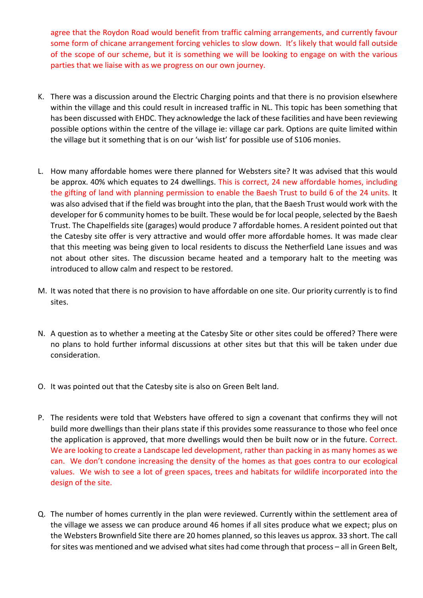agree that the Roydon Road would benefit from traffic calming arrangements, and currently favour some form of chicane arrangement forcing vehicles to slow down. It's likely that would fall outside of the scope of our scheme, but it is something we will be looking to engage on with the various parties that we liaise with as we progress on our own journey.

- K. There was a discussion around the Electric Charging points and that there is no provision elsewhere within the village and this could result in increased traffic in NL. This topic has been something that has been discussed with EHDC. They acknowledge the lack of these facilities and have been reviewing possible options within the centre of the village ie: village car park. Options are quite limited within the village but it something that is on our 'wish list' for possible use of S106 monies.
- L. How many affordable homes were there planned for Websters site? It was advised that this would be approx. 40% which equates to 24 dwellings. This is correct, 24 new affordable homes, including the gifting of land with planning permission to enable the Baesh Trust to build 6 of the 24 units. It was also advised that if the field was brought into the plan, that the Baesh Trust would work with the developer for 6 community homes to be built. These would be for local people, selected by the Baesh Trust. The Chapelfields site (garages) would produce 7 affordable homes. A resident pointed out that the Catesby site offer is very attractive and would offer more affordable homes. It was made clear that this meeting was being given to local residents to discuss the Netherfield Lane issues and was not about other sites. The discussion became heated and a temporary halt to the meeting was introduced to allow calm and respect to be restored.
- M. It was noted that there is no provision to have affordable on one site. Our priority currently is to find sites.
- N. A question as to whether a meeting at the Catesby Site or other sites could be offered? There were no plans to hold further informal discussions at other sites but that this will be taken under due consideration.
- O. It was pointed out that the Catesby site is also on Green Belt land.
- P. The residents were told that Websters have offered to sign a covenant that confirms they will not build more dwellings than their plans state if this provides some reassurance to those who feel once the application is approved, that more dwellings would then be built now or in the future. Correct. We are looking to create a Landscape led development, rather than packing in as many homes as we can. We don't condone increasing the density of the homes as that goes contra to our ecological values. We wish to see a lot of green spaces, trees and habitats for wildlife incorporated into the design of the site.
- Q. The number of homes currently in the plan were reviewed. Currently within the settlement area of the village we assess we can produce around 46 homes if all sites produce what we expect; plus on the Websters Brownfield Site there are 20 homes planned, so this leaves us approx. 33 short. The call for sites was mentioned and we advised what sites had come through that process – all in Green Belt,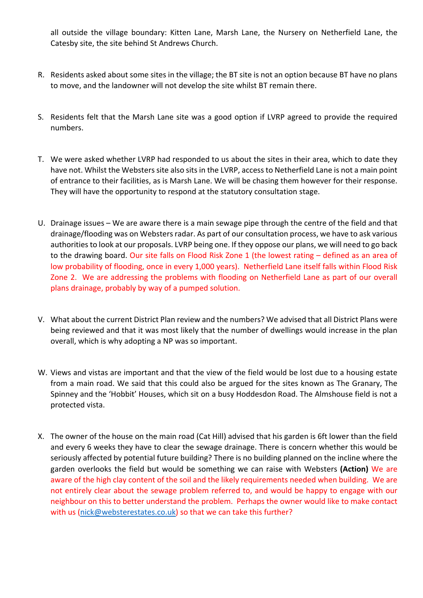all outside the village boundary: Kitten Lane, Marsh Lane, the Nursery on Netherfield Lane, the Catesby site, the site behind St Andrews Church.

- R. Residents asked about some sites in the village; the BT site is not an option because BT have no plans to move, and the landowner will not develop the site whilst BT remain there.
- S. Residents felt that the Marsh Lane site was a good option if LVRP agreed to provide the required numbers.
- T. We were asked whether LVRP had responded to us about the sites in their area, which to date they have not. Whilst the Websters site also sits in the LVRP, access to Netherfield Lane is not a main point of entrance to their facilities, as is Marsh Lane. We will be chasing them however for their response. They will have the opportunity to respond at the statutory consultation stage.
- U. Drainage issues We are aware there is a main sewage pipe through the centre of the field and that drainage/flooding was on Websters radar. As part of our consultation process, we have to ask various authoritiesto look at our proposals. LVRP being one. If they oppose our plans, we will need to go back to the drawing board. Our site falls on Flood Risk Zone 1 (the lowest rating - defined as an area of low probability of flooding, once in every 1,000 years). Netherfield Lane itself falls within Flood Risk Zone 2. We are addressing the problems with flooding on Netherfield Lane as part of our overall plans drainage, probably by way of a pumped solution.
- V. What about the current District Plan review and the numbers? We advised that all District Plans were being reviewed and that it was most likely that the number of dwellings would increase in the plan overall, which is why adopting a NP was so important.
- W. Views and vistas are important and that the view of the field would be lost due to a housing estate from a main road. We said that this could also be argued for the sites known as The Granary, The Spinney and the 'Hobbit' Houses, which sit on a busy Hoddesdon Road. The Almshouse field is not a protected vista.
- X. The owner of the house on the main road (Cat Hill) advised that his garden is 6ft lower than the field and every 6 weeks they have to clear the sewage drainage. There is concern whether this would be seriously affected by potential future building? There is no building planned on the incline where the garden overlooks the field but would be something we can raise with Websters **(Action)** We are aware of the high clay content of the soil and the likely requirements needed when building. We are not entirely clear about the sewage problem referred to, and would be happy to engage with our neighbour on this to better understand the problem. Perhaps the owner would like to make contact with us (nick@websterestates.co.uk) so that we can take this further?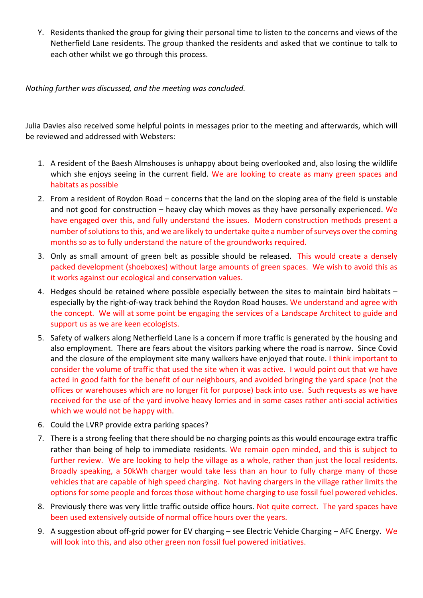Y. Residents thanked the group for giving their personal time to listen to the concerns and views of the Netherfield Lane residents. The group thanked the residents and asked that we continue to talk to each other whilst we go through this process.

*Nothing further was discussed, and the meeting was concluded.*

Julia Davies also received some helpful points in messages prior to the meeting and afterwards, which will be reviewed and addressed with Websters:

- 1. A resident of the Baesh Almshouses is unhappy about being overlooked and, also losing the wildlife which she enjoys seeing in the current field. We are looking to create as many green spaces and habitats as possible
- 2. From a resident of Roydon Road concerns that the land on the sloping area of the field is unstable and not good for construction – heavy clay which moves as they have personally experienced. We have engaged over this, and fully understand the issues. Modern construction methods present a number of solutions to this, and we are likely to undertake quite a number of surveys over the coming months so as to fully understand the nature of the groundworks required.
- 3. Only as small amount of green belt as possible should be released. This would create a densely packed development (shoeboxes) without large amounts of green spaces. We wish to avoid this as it works against our ecological and conservation values.
- 4. Hedges should be retained where possible especially between the sites to maintain bird habitats especially by the right-of-way track behind the Roydon Road houses. We understand and agree with the concept. We will at some point be engaging the services of a Landscape Architect to guide and support us as we are keen ecologists.
- 5. Safety of walkers along Netherfield Lane is a concern if more traffic is generated by the housing and also employment. There are fears about the visitors parking where the road is narrow. Since Covid and the closure of the employment site many walkers have enjoyed that route. I think important to consider the volume of traffic that used the site when it was active. I would point out that we have acted in good faith for the benefit of our neighbours, and avoided bringing the yard space (not the offices or warehouses which are no longer fit for purpose) back into use. Such requests as we have received for the use of the yard involve heavy lorries and in some cases rather anti‐social activities which we would not be happy with.
- 6. Could the LVRP provide extra parking spaces?
- 7. There is a strong feeling that there should be no charging points as this would encourage extra traffic rather than being of help to immediate residents. We remain open minded, and this is subject to further review. We are looking to help the village as a whole, rather than just the local residents. Broadly speaking, a 50kWh charger would take less than an hour to fully charge many of those vehicles that are capable of high speed charging. Not having chargers in the village rather limits the options for some people and forces those without home charging to use fossil fuel powered vehicles.
- 8. Previously there was very little traffic outside office hours. Not quite correct. The yard spaces have been used extensively outside of normal office hours over the years.
- 9. A suggestion about off-grid power for EV charging see Electric Vehicle Charging AFC Energy. We will look into this, and also other green non fossil fuel powered initiatives.